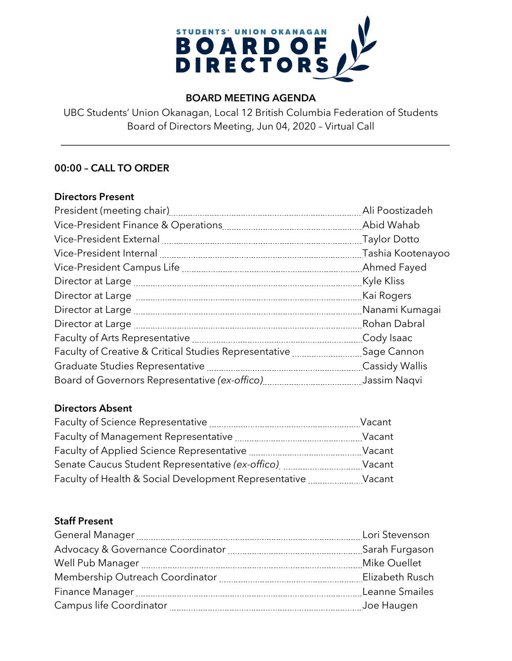

## **BOARD MEETING AGENDA**

UBC Students' Union Okanagan, Local 12 British Columbia Federation of Students Board of Directors Meeting, Jun 04, 2020 – Virtual Call

# **00:00 – CALL TO ORDER**

#### **Directors Present**

|                                                                                               | Ali Poostizadeh       |
|-----------------------------------------------------------------------------------------------|-----------------------|
|                                                                                               | Abid Wahab            |
| Vice-President External [111] [12] Vice-President External [21] Manumman Marian Article Potto |                       |
|                                                                                               | Tashia Kootenayoo     |
|                                                                                               |                       |
|                                                                                               | Kyle Kliss            |
|                                                                                               | Kai Rogers            |
|                                                                                               |                       |
|                                                                                               | Rohan Dabral          |
|                                                                                               | Cody Isaac            |
| Faculty of Creative & Critical Studies Representative <b>[18]</b> Sage Cannon                 |                       |
|                                                                                               | <b>Cassidy Wallis</b> |
|                                                                                               | Jassim Naqvi          |

### **Directors Absent**

| Faculty of Science Representative                     | Vacant |
|-------------------------------------------------------|--------|
| Faculty of Management Representative                  | Vacant |
| Faculty of Applied Science Representative             | Vacant |
| Senate Caucus Student Representative (ex-offico)      | Vacant |
| Faculty of Health & Social Development Representative | Vacant |

### **Staff Present**

| Lori Stevenson  |
|-----------------|
|                 |
| Mike Ouellet    |
| Elizabeth Rusch |
| Leanne Smailes  |
|                 |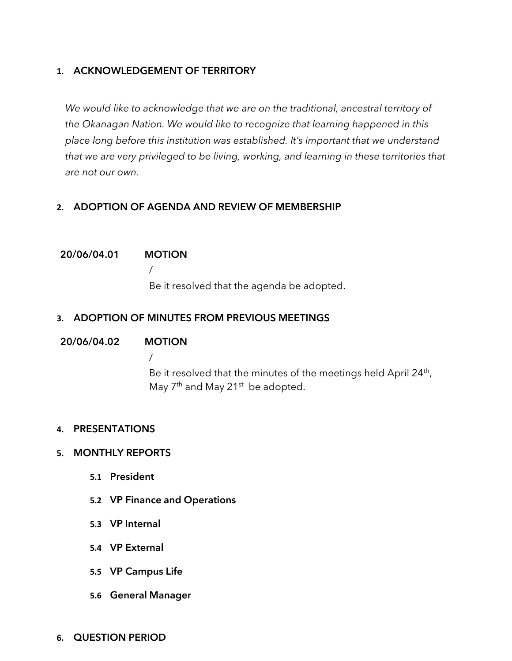### **1. ACKNOWLEDGEMENT OF TERRITORY**

*We would like to acknowledge that we are on the traditional, ancestral territory of the Okanagan Nation. We would like to recognize that learning happened in this place long before this institution was established. It's important that we understand that we are very privileged to be living, working, and learning in these territories that are not our own.*

## **2. ADOPTION OF AGENDA AND REVIEW OF MEMBERSHIP**

#### **20/06/04.01 MOTION**

/

Be it resolved that the agenda be adopted.

## **3. ADOPTION OF MINUTES FROM PREVIOUS MEETINGS**

### **20/06/04.02 MOTION**

/ Be it resolved that the minutes of the meetings held April 24<sup>th</sup>, May 7<sup>th</sup> and May 21<sup>st</sup> be adopted.

### **4. PRESENTATIONS**

#### **5. MONTHLY REPORTS**

- **5.1 President**
- **5.2 VP Finance and Operations**
- **5.3 VP Internal**
- **5.4 VP External**
- **5.5 VP Campus Life**
- **5.6 General Manager**
- **6. QUESTION PERIOD**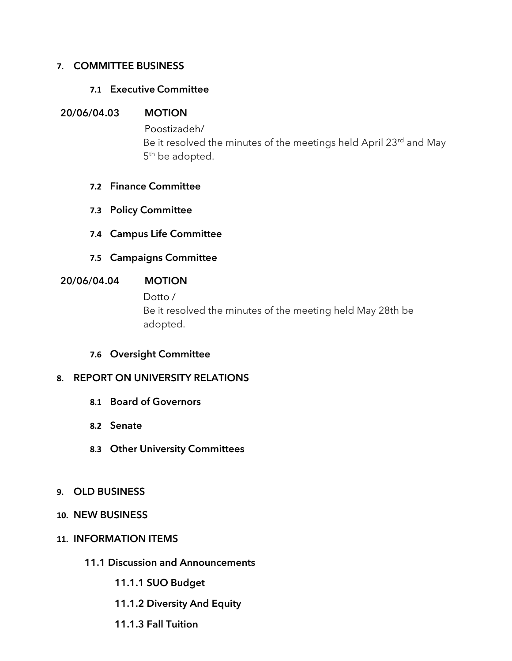#### **7. COMMITTEE BUSINESS**

#### **7.1 Executive Committee**

#### **20/06/04.03 MOTION**

Poostizadeh/ Be it resolved the minutes of the meetings held April 23rd and May 5<sup>th</sup> be adopted.

#### **7.2 Finance Committee**

- **7.3 Policy Committee**
- **7.4 Campus Life Committee**
- **7.5 Campaigns Committee**

#### **20/06/04.04 MOTION**

Dotto / Be it resolved the minutes of the meeting held May 28th be adopted.

### **7.6 Oversight Committee**

### **8. REPORT ON UNIVERSITY RELATIONS**

- **8.1 Board of Governors**
- **8.2 Senate**
- **8.3 Other University Committees**
- **9. OLD BUSINESS**
- **10. NEW BUSINESS**

#### **11. INFORMATION ITEMS**

- **11.1 Discussion and Announcements**
	- **11.1.1 SUO Budget**
	- **11.1.2 Diversity And Equity**
	- **11.1.3 Fall Tuition**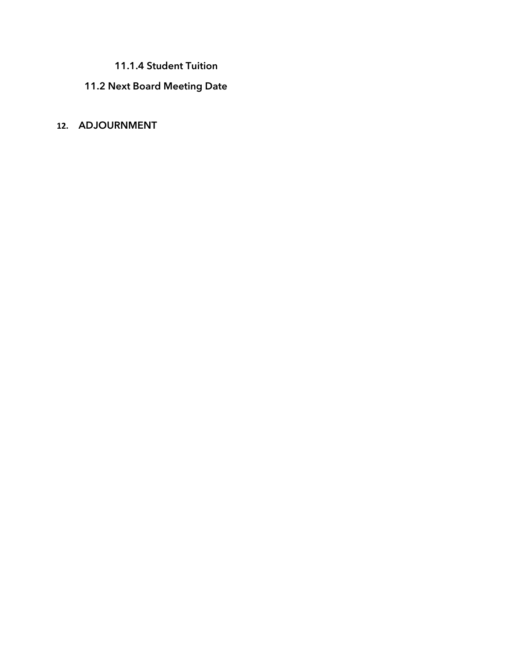# **11.1.4 Student Tuition**

# **11.2 Next Board Meeting Date**

# **12. ADJOURNMENT**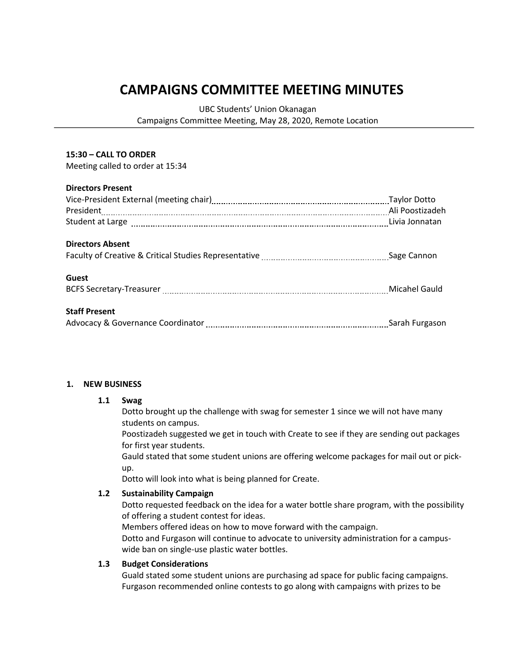# **CAMPAIGNS COMMITTEE MEETING MINUTES**

UBC Students' Union Okanagan

Campaigns Committee Meeting, May 28, 2020, Remote Location

#### **15:30 – CALL TO ORDER**

Meeting called to order at 15:34

#### **Directors Present**

|                                                                                                                                                                                                                                | <b>Taylor Dotto</b> |
|--------------------------------------------------------------------------------------------------------------------------------------------------------------------------------------------------------------------------------|---------------------|
|                                                                                                                                                                                                                                |                     |
| Student at Large [11] Large [11] Large [11] Large [11] Large [11] Large [11] Large [11] Large [11] Large [11] Large [11] Large [11] Large [11] Large [11] Large [11] Large [11] Large [11] Large [11] Large [11] Large [11] La |                     |
| <b>Directors Absent</b>                                                                                                                                                                                                        |                     |
|                                                                                                                                                                                                                                |                     |
| <b>Guest</b>                                                                                                                                                                                                                   |                     |
| BCFS Secretary-Treasurer [11,2001] Micahel Gauld                                                                                                                                                                               |                     |
| <b>Staff Present</b>                                                                                                                                                                                                           |                     |
| Advocacy & Governance Coordinator [11, 2010] Advocacy & Governance Coordinator [11, 2010] Advocacy & Governance Coordinator [11, 2011] Advocacy & Governance Coordinator [11, 2010] Advocacy & Advocacy Sarah Furgason         |                     |

#### **1. NEW BUSINESS**

#### **1.1 Swag**

Dotto brought up the challenge with swag for semester 1 since we will not have many students on campus.

Poostizadeh suggested we get in touch with Create to see if they are sending out packages for first year students.

Gauld stated that some student unions are offering welcome packages for mail out or pickup.

Dotto will look into what is being planned for Create.

#### **1.2 Sustainability Campaign**

Dotto requested feedback on the idea for a water bottle share program, with the possibility of offering a student contest for ideas.

Members offered ideas on how to move forward with the campaign.

Dotto and Furgason will continue to advocate to university administration for a campuswide ban on single-use plastic water bottles.

#### **1.3 Budget Considerations**

Guald stated some student unions are purchasing ad space for public facing campaigns. Furgason recommended online contests to go along with campaigns with prizes to be